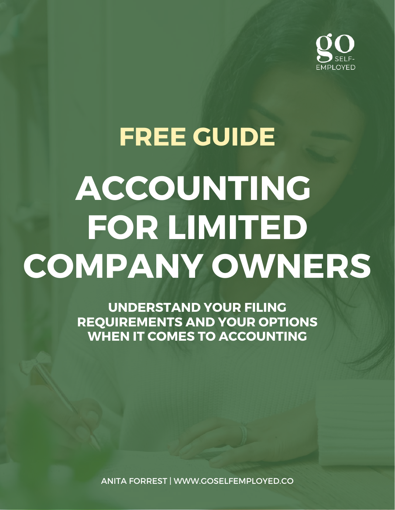

# **FREE GUIDE ACCOUNTING FOR LIMITED COMPANY OWNERS**

**UNDERSTAND YOUR FILING REQUIREMENTS AND YOUR OPTIONS WHEN IT COMES TO ACCOUNTING**

ANITA FORREST | WWW.GOSELFEMPLOYED.CO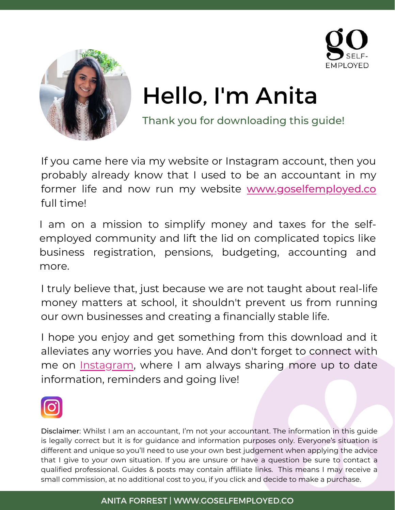



## Hello, I'm Anita

Thank you for downloading this guide!

If you came here via my website or Instagram account, then you probably already know that I used to be an accountant in my former life and now run my website [www.goselfemployed.co](https://goselfemployed.co/) full time!

I am on a mission to simplify money and taxes for the selfemployed community and lift the lid on complicated topics like business registration, pensions, budgeting, accounting and more.

I truly believe that, just because we are not taught about real-life money matters at school, it shouldn't prevent us from running our own businesses and creating a financially stable life.

I hope you enjoy and get something from this download and it alleviates any worries you have. And don't forget to connect with me on [Instagram](https://www.instagram.com/goselfemployed.co/), where I am always sharing more up to date information, reminders and going live!



Disclaimer: Whilst I am an accountant, I'm not your accountant. The information in this guide is legally correct but it is for guidance and information purposes only. Everyone's situation is different and unique so you'll need to use your own best judgement when applying the advice that I give to your own situation. If you are unsure or have a question be sure to contact a qualified professional. Guides & posts may contain affiliate links. This means I may receive a small commission, at no additional cost to you, if you click and decide to make a purchase.

#### ANITA FORREST | WWW.GOSELFEMPLOYED.CO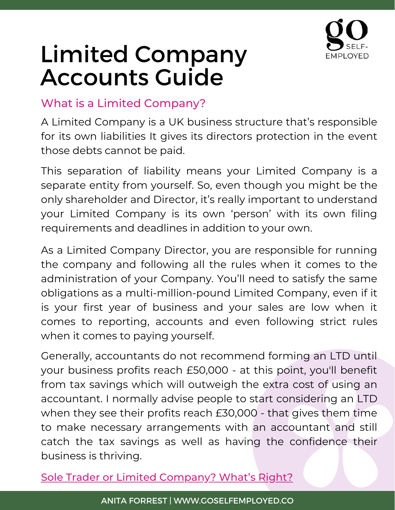

#### What is a Limited Company?

A Limited Company is a UK business structure that's responsible for its own liabilities It gives its directors protection in the event those debts cannot be paid.

This separation of liability means your Limited Company is a separate entity from yourself. So, even though you might be the only shareholder and Director, it's really important to understand your Limited Company is its own 'person' with its own filing requirements and deadlines in addition to your own.

As a Limited Company Director, you are responsible for running the company and following all the rules when it comes to the administration of your Company. You'll need to satisfy the same obligations as a multi-million-pound Limited Company, even if it is your first year of business and your sales are low when it comes to reporting, accounts and even following strict rules when it comes to paying [yourself.](https://goselfemployed.co/salary-v-dividend/)

Generally, accountants do not recommend forming an LTD until your business profits reach £50,000 - at this point, you'll benefit from tax savings which will outweigh the extra cost of using an accountant. I normally advise people to start considering an LTD when they see their profits reach £30,000 - that gives them time to make necessary arrangements with an accountant and still catch the tax savings as well as having the confidence their business is thriving.

Sole Trader or Limited [Company?](https://goselfemployed.co/sole-trader-or-limited-company/) What's Right?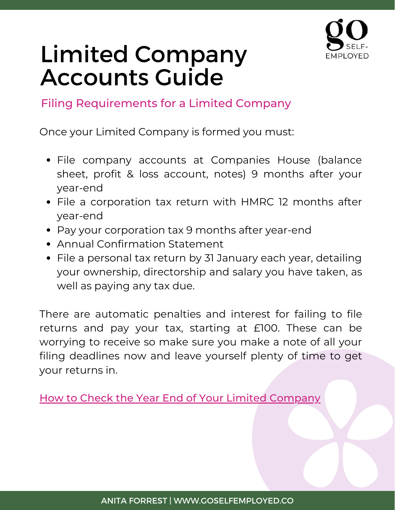

Filing Requirements for a Limited Company

Once your Limited Company is formed you must:

- File company accounts at Companies House (balance sheet, profit & loss account, notes) 9 months after your year-end
- File a corporation tax return with HMRC 12 months after year-end
- Pay your corporation tax 9 months after year-end
- Annual Confirmation Statement
- File a personal tax return by 31 January each year, detailing your ownership, directorship and salary you have taken, as well as paying any tax due.

There are automatic penalties and interest for failing to file returns and pay your tax, starting at £100. These can be worrying to receive so make sure you make a note of all your filing deadlines now and leave yourself plenty of time to get your returns in.

How to Check the Year End of Your Limited [Company](https://goselfemployed.co/how-to-form-a-limited-company/https:/goselfemployed.co/how-to-form-a-limited-company/)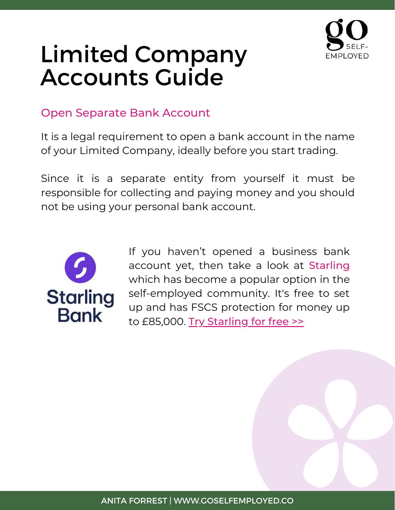

#### Open Separate Bank Account

It is a legal requirement to open a bank account in the name of your Limited Company, ideally before you start trading.

Since it is a separate entity from yourself it must be responsible for collecting and paying money and you should not be using your personal bank account.



If you haven't opened a business bank account yet, then take a look at [Starling](https://starling-bank.nny66p.net/c/1441725/788319/10945) which has become a popular option in the self-employed community. It's free to set up and has FSCS protection for money up to £85,000. Try [Starling](https://starling-bank.nny66p.net/c/1441725/788319/10945) for free >>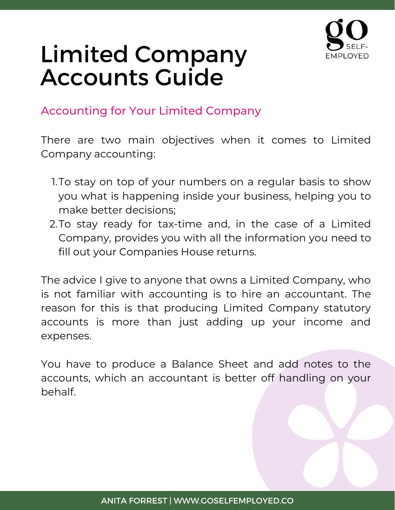

#### Accounting for Your Limited Company

There are two main objectives when it comes to Limited Company accounting:

- 1.To stay on top of your numbers on a regular basis to show you what is happening inside your business, helping you to make better decisions;
- 2.To stay ready for tax-time and, in the case of a Limited Company, provides you with all the information you need to fill out your Companies House returns.

The advice I give to anyone that owns a Limited Company, who is not familiar with accounting is to hire an accountant. The reason for this is that producing Limited Company statutory accounts is more than just adding up your income and expenses.

You have to produce a Balance Sheet and add notes to the accounts, which an accountant is better off handling on your behalf.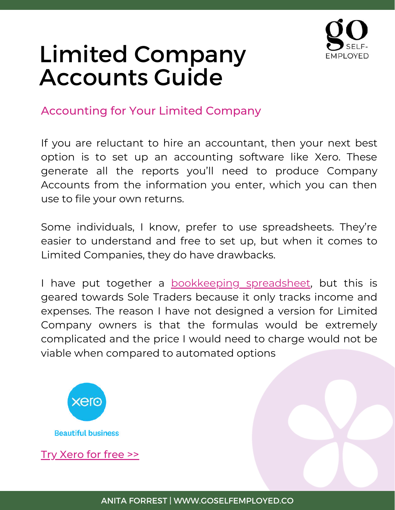

#### Accounting for Your Limited Company

If you are reluctant to hire an accountant, then your next best option is to set up an accounting software like [Xe](https://trk.m-t.io/action?mtref=6653478442762240&mtu=5491429809455104)ro. These generate all the reports you'll need to produce Company Accounts from the information you enter, which you can then use to file your own returns.

Some individuals, I know, prefer to use spreadsheets. They're easier to understand and free to set up, but when it comes to Limited Companies, they do have drawbacks.

I have put together a [bookkeeping](https://goselfemployed.co/bookkeeping-spreadsheet/) spreadsheet, but this is geared towards Sole Traders because it only tracks income and expenses. The reason I have not designed a version for Limited Company owners is that the formulas would be extremely complicated and the price I would need to charge would not be viable when compared to automated options



Try [Xero](https://www.xero.com/uk/?utm_source=awin&utm_medium=affiliate&utm_campaign=uk-d-smb_www.goselfemployed.co&awc=20923_1647597843_a03fb62d147df00ddf6e5c9f635e625c) for free >>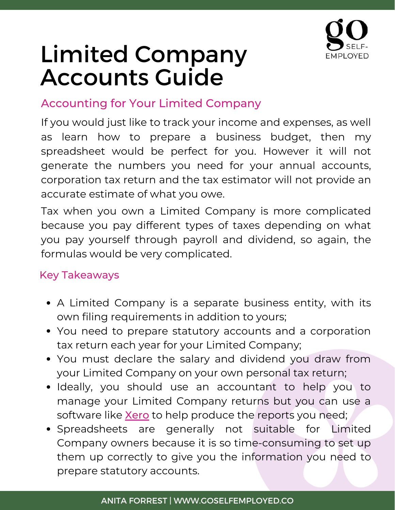

#### Accounting for Your Limited Company

If you would just like to track your income and expenses, as well as learn how to prepare a business budget, then my spreadsheet would be perfect for you. However it will not generate the numbers you need for your annual accounts, corporation tax return and the tax estimator will not provide an accurate estimate of what you owe.

Tax when you own a Limited Company is more complicated because you pay different types of taxes depending on what you pay yourself through payroll and dividend, so again, the formulas would be very complicated.

#### Key Takeaways

- A Limited Company is a separate business entity, with its own filing requirements in addition to yours;
- You need to prepare statutory accounts and a corporation tax return each year for your Limited Company;
- You must declare the salary and dividend you draw from your Limited Company on your own personal tax return;
- Ideally, you should use an accountant to help you to manage your Limited Company returns but you can use a software like **[Xero](https://www.xero.com/uk/?utm_source=awin&utm_medium=affiliate&utm_campaign=uk-d-smb_www.goselfemployed.co&awc=20923_1647597843_a03fb62d147df00ddf6e5c9f635e625c)** to help produce the reports you need;
- Spreadsheets are generally not suitable for Limited Company owners because it is so time-consuming to set up them up correctly to give you the information you need to prepare statutory accounts.